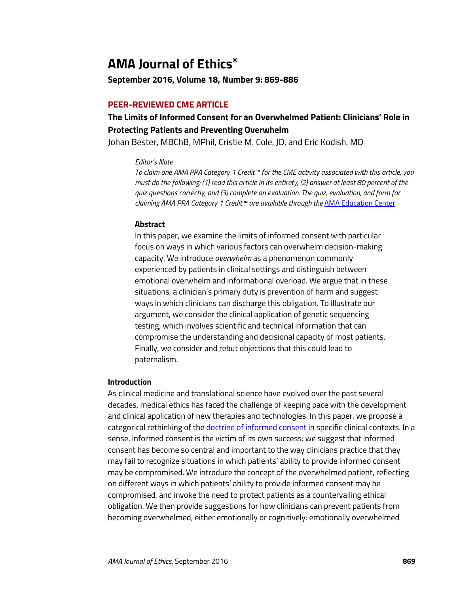# **AMA Journal of Ethics®**

**September 2016, Volume 18, Number 9: 869-886**

### **PEER-REVIEWED CME ARTICLE**

## **The Limits of Informed Consent for an Overwhelmed Patient: Clinicians' Role in Protecting Patients and Preventing Overwhelm**

Johan Bester, MBChB, MPhil, Cristie M. Cole, JD, and Eric Kodish, MD

### *Editor's Note*

*To claim one AMA PRA Category 1 Credit™ for the CME activity associated with this article, you must do the following: (1) read this article in its entirety, (2) answer at least 80 percent of the quiz questions correctly, and (3) complete an evaluation. The quiz, evaluation, and form for claiming AMA PRA Category 1 Credit™ are available through the* [AMA Education Center](http://www.ama-assn.org/ama/pub/education-careers/education-center.page?)*.*

### **Abstract**

In this paper, we examine the limits of informed consent with particular focus on ways in which various factors can overwhelm decision-making capacity. We introduce *overwhelm* as a phenomenon commonly experienced by patients in clinical settings and distinguish between emotional overwhelm and informational overload. We argue that in these situations, a clinician's primary duty is prevention of harm and suggest ways in which clinicians can discharge this obligation. To illustrate our argument, we consider the clinical application of genetic sequencing testing, which involves scientific and technical information that can compromise the understanding and decisional capacity of most patients. Finally, we consider and rebut objections that this could lead to paternalism.

### **Introduction**

As clinical medicine and translational science have evolved over the past several decades, medical ethics has faced the challenge of keeping pace with the development and clinical application of new therapies and technologies. In this paper, we propose a categorical rethinking of the [doctrine of informed consent](http://journalofethics.ama-assn.org/2012/07/hlaw1-1207.html) in specific clinical contexts. In a sense, informed consent is the victim of its own success: we suggest that informed consent has become so central and important to the way clinicians practice that they may fail to recognize situations in which patients' ability to provide informed consent may be compromised. We introduce the concept of the overwhelmed patient, reflecting on different ways in which patients' ability to provide informed consent may be compromised, and invoke the need to protect patients as a countervailing ethical obligation. We then provide suggestions for how clinicians can prevent patients from becoming overwhelmed, either emotionally or cognitively: emotionally overwhelmed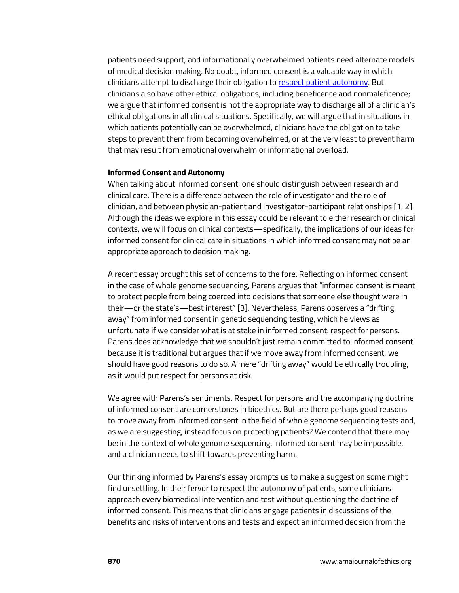patients need support, and informationally overwhelmed patients need alternate models of medical decision making. No doubt, informed consent is a valuable way in which clinicians attempt to discharge their obligation t[o respect patient autonomy.](http://journalofethics.ama-assn.org/2009/08/jdsc1-0908.html) But clinicians also have other ethical obligations, including beneficence and nonmaleficence; we argue that informed consent is not the appropriate way to discharge all of a clinician's ethical obligations in all clinical situations. Specifically, we will argue that in situations in which patients potentially can be overwhelmed, clinicians have the obligation to take steps to prevent them from becoming overwhelmed, or at the very least to prevent harm that may result from emotional overwhelm or informational overload.

### **Informed Consent and Autonomy**

When talking about informed consent, one should distinguish between research and clinical care. There is a difference between the role of investigator and the role of clinician, and between physician-patient and investigator-participant relationships [1, 2]. Although the ideas we explore in this essay could be relevant to either research or clinical contexts, we will focus on clinical contexts—specifically, the implications of our ideas for informed consent for clinical care in situations in which informed consent may not be an appropriate approach to decision making.

A recent essay brought this set of concerns to the fore. Reflecting on informed consent in the case of whole genome sequencing, Parens argues that "informed consent is meant to protect people from being coerced into decisions that someone else thought were in their—or the state's—best interest" [3]. Nevertheless, Parens observes a "drifting away" from informed consent in genetic sequencing testing, which he views as unfortunate if we consider what is at stake in informed consent: respect for persons. Parens does acknowledge that we shouldn't just remain committed to informed consent because it is traditional but argues that if we move away from informed consent, we should have good reasons to do so. A mere "drifting away" would be ethically troubling, as it would put respect for persons at risk.

We agree with Parens's sentiments. Respect for persons and the accompanying doctrine of informed consent are cornerstones in bioethics. But are there perhaps good reasons to move away from informed consent in the field of whole genome sequencing tests and, as we are suggesting, instead focus on protecting patients? We contend that there may be: in the context of whole genome sequencing, informed consent may be impossible, and a clinician needs to shift towards preventing harm.

Our thinking informed by Parens's essay prompts us to make a suggestion some might find unsettling. In their fervor to respect the autonomy of patients, some clinicians approach every biomedical intervention and test without questioning the doctrine of informed consent. This means that clinicians engage patients in discussions of the benefits and risks of interventions and tests and expect an informed decision from the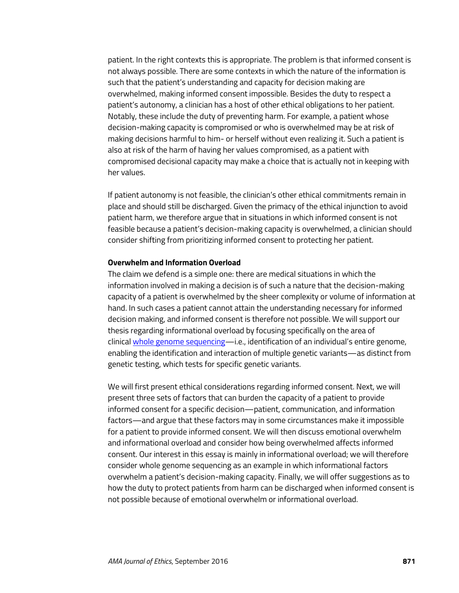patient. In the right contexts this is appropriate. The problem is that informed consent is not always possible. There are some contexts in which the nature of the information is such that the patient's understanding and capacity for decision making are overwhelmed, making informed consent impossible. Besides the duty to respect a patient's autonomy, a clinician has a host of other ethical obligations to her patient. Notably, these include the duty of preventing harm. For example, a patient whose decision-making capacity is compromised or who is overwhelmed may be at risk of making decisions harmful to him- or herself without even realizing it. Such a patient is also at risk of the harm of having her values compromised, as a patient with compromised decisional capacity may make a choice that is actually not in keeping with her values.

If patient autonomy is not feasible, the clinician's other ethical commitments remain in place and should still be discharged. Given the primacy of the ethical injunction to avoid patient harm, we therefore argue that in situations in which informed consent is not feasible because a patient's decision-making capacity is overwhelmed, a clinician should consider shifting from prioritizing informed consent to protecting her patient.

### **Overwhelm and Information Overload**

The claim we defend is a simple one: there are medical situations in which the information involved in making a decision is of such a nature that the decision-making capacity of a patient is overwhelmed by the sheer complexity or volume of information at hand. In such cases a patient cannot attain the understanding necessary for informed decision making, and informed consent is therefore not possible. We will support our thesis regarding informational overload by focusing specifically on the area of clinical whole genome sequencing-i.e., identification of an individual's entire genome, enabling the identification and interaction of multiple genetic variants—as distinct from genetic testing, which tests for specific genetic variants.

We will first present ethical considerations regarding informed consent. Next, we will present three sets of factors that can burden the capacity of a patient to provide informed consent for a specific decision—patient, communication, and information factors—and argue that these factors may in some circumstances make it impossible for a patient to provide informed consent. We will then discuss emotional overwhelm and informational overload and consider how being overwhelmed affects informed consent. Our interest in this essay is mainly in informational overload; we will therefore consider whole genome sequencing as an example in which informational factors overwhelm a patient's decision-making capacity. Finally, we will offer suggestions as to how the duty to protect patients from harm can be discharged when informed consent is not possible because of emotional overwhelm or informational overload.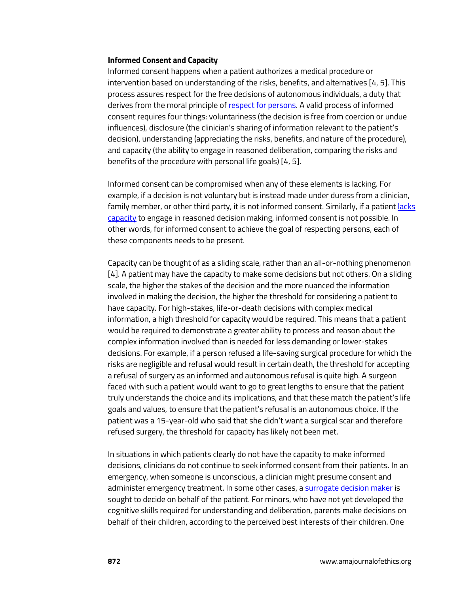### **Informed Consent and Capacity**

Informed consent happens when a patient authorizes a medical procedure or intervention based on understanding of the risks, benefits, and alternatives [4, 5]. This process assures respect for the free decisions of autonomous individuals, a duty that derives from the moral principle of [respect for persons.](http://journalofethics.ama-assn.org/2008/03/msoc1-0803.html) A valid process of informed consent requires four things: voluntariness (the decision is free from coercion or undue influences), disclosure (the clinician's sharing of information relevant to the patient's decision), understanding (appreciating the risks, benefits, and nature of the procedure), and capacity (the ability to engage in reasoned deliberation, comparing the risks and benefits of the procedure with personal life goals) [4, 5].

Informed consent can be compromised when any of these elements is lacking. For example, if a decision is not voluntary but is instead made under duress from a clinician, family member, or other third party, it is not informed consent. Similarly, if a patient [lacks](http://journalofethics.ama-assn.org/2016/06/coet1-1606.html)  [capacity](http://journalofethics.ama-assn.org/2016/06/coet1-1606.html) to engage in reasoned decision making, informed consent is not possible. In other words, for informed consent to achieve the goal of respecting persons, each of these components needs to be present.

Capacity can be thought of as a sliding scale, rather than an all-or-nothing phenomenon [4]. A patient may have the capacity to make some decisions but not others. On a sliding scale, the higher the stakes of the decision and the more nuanced the information involved in making the decision, the higher the threshold for considering a patient to have capacity. For high-stakes, life-or-death decisions with complex medical information, a high threshold for capacity would be required. This means that a patient would be required to demonstrate a greater ability to process and reason about the complex information involved than is needed for less demanding or lower-stakes decisions. For example, if a person refused a life-saving surgical procedure for which the risks are negligible and refusal would result in certain death, the threshold for accepting a refusal of surgery as an informed and autonomous refusal is quite high. A surgeon faced with such a patient would want to go to great lengths to ensure that the patient truly understands the choice and its implications, and that these match the patient's life goals and values, to ensure that the patient's refusal is an autonomous choice. If the patient was a 15-year-old who said that she didn't want a surgical scar and therefore refused surgery, the threshold for capacity has likely not been met.

In situations in which patients clearly do not have the capacity to make informed decisions, clinicians do not continue to seek informed consent from their patients. In an emergency, when someone is unconscious, a clinician might presume consent and administer emergency treatment. In some other cases, a [surrogate decision maker](http://journalofethics.ama-assn.org/2016/06/coet1-1606.html) is sought to decide on behalf of the patient. For minors, who have not yet developed the cognitive skills required for understanding and deliberation, parents make decisions on behalf of their children, according to the perceived best interests of their children. One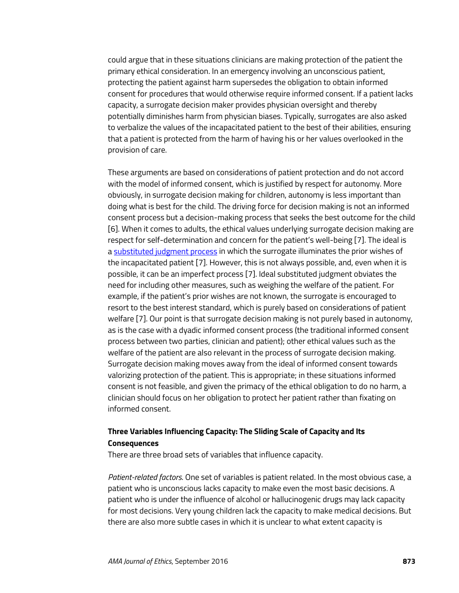could argue that in these situations clinicians are making protection of the patient the primary ethical consideration. In an emergency involving an unconscious patient, protecting the patient against harm supersedes the obligation to obtain informed consent for procedures that would otherwise require informed consent. If a patient lacks capacity, a surrogate decision maker provides physician oversight and thereby potentially diminishes harm from physician biases. Typically, surrogates are also asked to verbalize the values of the incapacitated patient to the best of their abilities, ensuring that a patient is protected from the harm of having his or her values overlooked in the provision of care.

These arguments are based on considerations of patient protection and do not accord with the model of informed consent, which is justified by respect for autonomy. More obviously, in surrogate decision making for children, autonomy is less important than doing what is best for the child. The driving force for decision making is not an informed consent process but a decision-making process that seeks the best outcome for the child [6]. When it comes to adults, the ethical values underlying surrogate decision making are respect for self-determination and concern for the patient's well-being [7]. The ideal is a [substituted judgment process](http://journalofethics.ama-assn.org/2009/08/ccas1-0908.html) in which the surrogate illuminates the prior wishes of the incapacitated patient [7]. However, this is not always possible, and, even when it is possible, it can be an imperfect process [7]. Ideal substituted judgment obviates the need for including other measures, such as weighing the welfare of the patient. For example, if the patient's prior wishes are not known, the surrogate is encouraged to resort to the best interest standard, which is purely based on considerations of patient welfare [7]. Our point is that surrogate decision making is not purely based in autonomy, as is the case with a dyadic informed consent process (the traditional informed consent process between two parties, clinician and patient); other ethical values such as the welfare of the patient are also relevant in the process of surrogate decision making. Surrogate decision making moves away from the ideal of informed consent towards valorizing protection of the patient. This is appropriate; in these situations informed consent is not feasible, and given the primacy of the ethical obligation to do no harm, a clinician should focus on her obligation to protect her patient rather than fixating on informed consent.

### **Three Variables Influencing Capacity: The Sliding Scale of Capacity and Its Consequences**

There are three broad sets of variables that influence capacity.

*Patient-related factors*. One set of variables is patient related. In the most obvious case, a patient who is unconscious lacks capacity to make even the most basic decisions. A patient who is under the influence of alcohol or hallucinogenic drugs may lack capacity for most decisions. Very young children lack the capacity to make medical decisions. But there are also more subtle cases in which it is unclear to what extent capacity is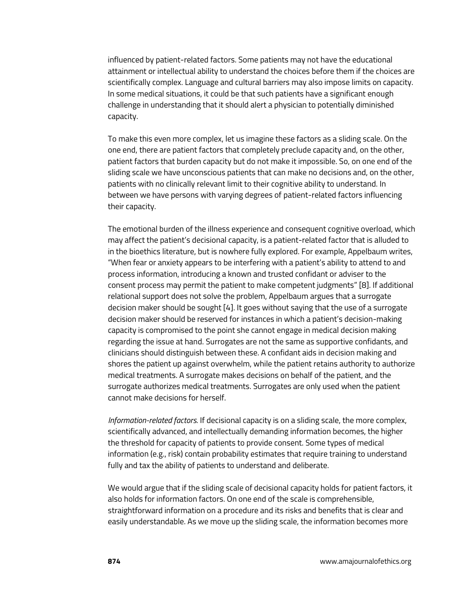influenced by patient-related factors. Some patients may not have the educational attainment or intellectual ability to understand the choices before them if the choices are scientifically complex. Language and cultural barriers may also impose limits on capacity. In some medical situations, it could be that such patients have a significant enough challenge in understanding that it should alert a physician to potentially diminished capacity.

To make this even more complex, let us imagine these factors as a sliding scale. On the one end, there are patient factors that completely preclude capacity and, on the other, patient factors that burden capacity but do not make it impossible. So, on one end of the sliding scale we have unconscious patients that can make no decisions and, on the other, patients with no clinically relevant limit to their cognitive ability to understand. In between we have persons with varying degrees of patient-related factors influencing their capacity.

The emotional burden of the illness experience and consequent cognitive overload, which may affect the patient's decisional capacity, is a patient-related factor that is alluded to in the bioethics literature, but is nowhere fully explored. For example, Appelbaum writes, "When fear or anxiety appears to be interfering with a patient's ability to attend to and process information, introducing a known and trusted confidant or adviser to the consent process may permit the patient to make competent judgments" [8]. If additional relational support does not solve the problem, Appelbaum argues that a surrogate decision maker should be sought [4]. It goes without saying that the use of a surrogate decision maker should be reserved for instances in which a patient's decision-making capacity is compromised to the point she cannot engage in medical decision making regarding the issue at hand. Surrogates are not the same as supportive confidants, and clinicians should distinguish between these. A confidant aids in decision making and shores the patient up against overwhelm, while the patient retains authority to authorize medical treatments. A surrogate makes decisions on behalf of the patient, and the surrogate authorizes medical treatments. Surrogates are only used when the patient cannot make decisions for herself.

*Information-related factors*. If decisional capacity is on a sliding scale, the more complex, scientifically advanced, and intellectually demanding information becomes, the higher the threshold for capacity of patients to provide consent. Some types of medical information (e.g., risk) contain probability estimates that require training to understand fully and tax the ability of patients to understand and deliberate.

We would argue that if the sliding scale of decisional capacity holds for patient factors, it also holds for information factors. On one end of the scale is comprehensible, straightforward information on a procedure and its risks and benefits that is clear and easily understandable. As we move up the sliding scale, the information becomes more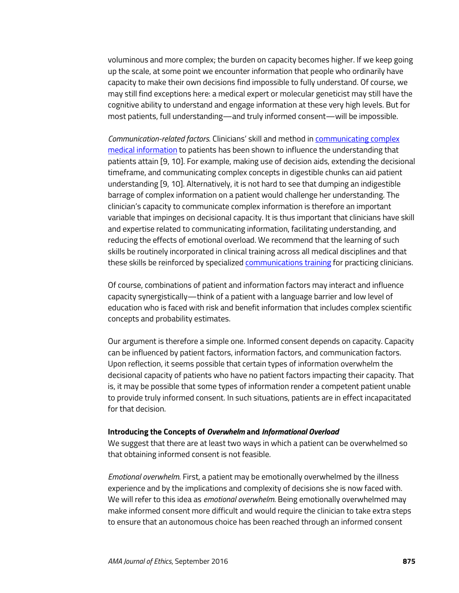voluminous and more complex; the burden on capacity becomes higher. If we keep going up the scale, at some point we encounter information that people who ordinarily have capacity to make their own decisions find impossible to fully understand. Of course, we may still find exceptions here: a medical expert or molecular geneticist may still have the cognitive ability to understand and engage information at these very high levels. But for most patients, full understanding—and truly informed consent—will be impossible.

*Communication-related factors*. Clinicians' skill and method in [communicating complex](http://journalofethics.ama-assn.org/2013/01/stas1-1301.html)  [medical information](http://journalofethics.ama-assn.org/2013/01/stas1-1301.html) to patients has been shown to influence the understanding that patients attain [9, 10]. For example, making use of decision aids, extending the decisional timeframe, and communicating complex concepts in digestible chunks can aid patient understanding [9, 10]. Alternatively, it is not hard to see that dumping an indigestible barrage of complex information on a patient would challenge her understanding. The clinician's capacity to communicate complex information is therefore an important variable that impinges on decisional capacity. It is thus important that clinicians have skill and expertise related to communicating information, facilitating understanding, and reducing the effects of emotional overload. We recommend that the learning of such skills be routinely incorporated in clinical training across all medical disciplines and that these skills be reinforced by specialized **communications training** for practicing clinicians.

Of course, combinations of patient and information factors may interact and influence capacity synergistically—think of a patient with a language barrier and low level of education who is faced with risk and benefit information that includes complex scientific concepts and probability estimates.

Our argument is therefore a simple one. Informed consent depends on capacity. Capacity can be influenced by patient factors, information factors, and communication factors. Upon reflection, it seems possible that certain types of information overwhelm the decisional capacity of patients who have no patient factors impacting their capacity. That is, it may be possible that some types of information render a competent patient unable to provide truly informed consent. In such situations, patients are in effect incapacitated for that decision.

### **Introducing the Concepts of** *Overwhelm* **and** *Informational Overload*

We suggest that there are at least two ways in which a patient can be overwhelmed so that obtaining informed consent is not feasible.

*Emotional overwhelm*. First, a patient may be emotionally overwhelmed by the illness experience and by the implications and complexity of decisions she is now faced with. We will refer to this idea as *emotional overwhelm*. Being emotionally overwhelmed may make informed consent more difficult and would require the clinician to take extra steps to ensure that an autonomous choice has been reached through an informed consent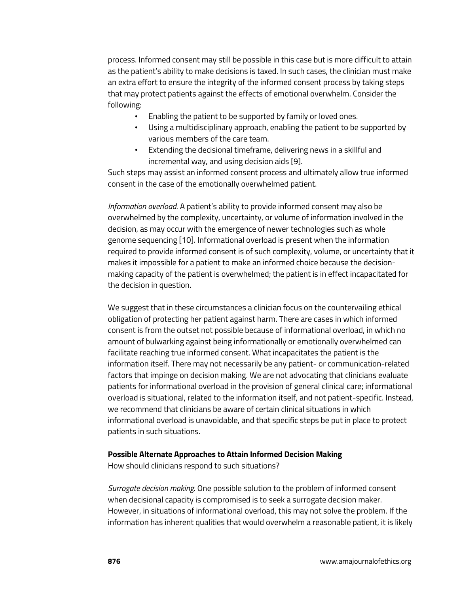process. Informed consent may still be possible in this case but is more difficult to attain as the patient's ability to make decisions is taxed. In such cases, the clinician must make an extra effort to ensure the integrity of the informed consent process by taking steps that may protect patients against the effects of emotional overwhelm. Consider the following:

- Enabling the patient to be supported by family or loved ones.
- Using a multidisciplinary approach, enabling the patient to be supported by various members of the care team.
- Extending the decisional timeframe, delivering news in a skillful and incremental way, and using decision aids [9].

Such steps may assist an informed consent process and ultimately allow true informed consent in the case of the emotionally overwhelmed patient.

*Information overload*. A patient's ability to provide informed consent may also be overwhelmed by the complexity, uncertainty, or volume of information involved in the decision, as may occur with the emergence of newer technologies such as whole genome sequencing [10]. Informational overload is present when the information required to provide informed consent is of such complexity, volume, or uncertainty that it makes it impossible for a patient to make an informed choice because the decisionmaking capacity of the patient is overwhelmed; the patient is in effect incapacitated for the decision in question.

We suggest that in these circumstances a clinician focus on the countervailing ethical obligation of protecting her patient against harm. There are cases in which informed consent is from the outset not possible because of informational overload, in which no amount of bulwarking against being informationally or emotionally overwhelmed can facilitate reaching true informed consent. What incapacitates the patient is the information itself. There may not necessarily be any patient- or communication-related factors that impinge on decision making. We are not advocating that clinicians evaluate patients for informational overload in the provision of general clinical care; informational overload is situational, related to the information itself, and not patient-specific. Instead, we recommend that clinicians be aware of certain clinical situations in which informational overload is unavoidable, and that specific steps be put in place to protect patients in such situations.

### **Possible Alternate Approaches to Attain Informed Decision Making**

How should clinicians respond to such situations?

*Surrogate decision making*. One possible solution to the problem of informed consent when decisional capacity is compromised is to seek a surrogate decision maker. However, in situations of informational overload, this may not solve the problem. If the information has inherent qualities that would overwhelm a reasonable patient, it is likely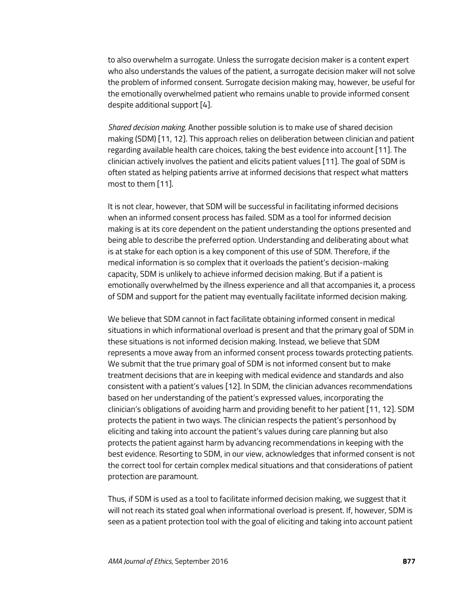to also overwhelm a surrogate. Unless the surrogate decision maker is a content expert who also understands the values of the patient, a surrogate decision maker will not solve the problem of informed consent. Surrogate decision making may, however, be useful for the emotionally overwhelmed patient who remains unable to provide informed consent despite additional support [4].

*Shared decision making*. Another possible solution is to make use of shared decision making (SDM) [11, 12]. This approach relies on deliberation between clinician and patient regarding available health care choices, taking the best evidence into account [11]. The clinician actively involves the patient and elicits patient values [11]. The goal of SDM is often stated as helping patients arrive at informed decisions that respect what matters most to them [11].

It is not clear, however, that SDM will be successful in facilitating informed decisions when an informed consent process has failed. SDM as a tool for informed decision making is at its core dependent on the patient understanding the options presented and being able to describe the preferred option. Understanding and deliberating about what is at stake for each option is a key component of this use of SDM. Therefore, if the medical information is so complex that it overloads the patient's decision-making capacity, SDM is unlikely to achieve informed decision making. But if a patient is emotionally overwhelmed by the illness experience and all that accompanies it, a process of SDM and support for the patient may eventually facilitate informed decision making.

We believe that SDM cannot in fact facilitate obtaining informed consent in medical situations in which informational overload is present and that the primary goal of SDM in these situations is not informed decision making. Instead, we believe that SDM represents a move away from an informed consent process towards protecting patients. We submit that the true primary goal of SDM is not informed consent but to make treatment decisions that are in keeping with medical evidence and standards and also consistent with a patient's values [12]. In SDM, the clinician advances recommendations based on her understanding of the patient's expressed values, incorporating the clinician's obligations of avoiding harm and providing benefit to her patient [11, 12]. SDM protects the patient in two ways. The clinician respects the patient's personhood by eliciting and taking into account the patient's values during care planning but also protects the patient against harm by advancing recommendations in keeping with the best evidence. Resorting to SDM, in our view, acknowledges that informed consent is not the correct tool for certain complex medical situations and that considerations of patient protection are paramount.

Thus, if SDM is used as a tool to facilitate informed decision making, we suggest that it will not reach its stated goal when informational overload is present. If, however, SDM is seen as a patient protection tool with the goal of eliciting and taking into account patient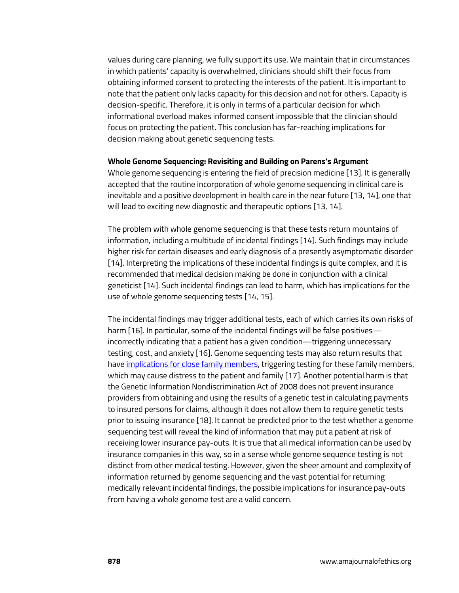values during care planning, we fully support its use. We maintain that in circumstances in which patients' capacity is overwhelmed, clinicians should shift their focus from obtaining informed consent to protecting the interests of the patient. It is important to note that the patient only lacks capacity for this decision and not for others. Capacity is decision-specific. Therefore, it is only in terms of a particular decision for which informational overload makes informed consent impossible that the clinician should focus on protecting the patient. This conclusion has far-reaching implications for decision making about genetic sequencing tests.

#### **Whole Genome Sequencing: Revisiting and Building on Parens's Argument**

Whole genome sequencing is entering the field of precision medicine [13]. It is generally accepted that the routine incorporation of whole genome sequencing in clinical care is inevitable and a positive development in health care in the near future [13, 14], one that will lead to exciting new diagnostic and therapeutic options [13, 14].

The problem with whole genome sequencing is that these tests return mountains of information, including a multitude of incidental findings [14]. Such findings may include higher risk for certain diseases and early diagnosis of a presently asymptomatic disorder [14]. Interpreting the implications of these incidental findings is quite complex, and it is recommended that medical decision making be done in conjunction with a clinical geneticist [14]. Such incidental findings can lead to harm, which has implications for the use of whole genome sequencing tests [14, 15].

The incidental findings may trigger additional tests, each of which carries its own risks of harm [16]. In particular, some of the incidental findings will be false positives incorrectly indicating that a patient has a given condition—triggering unnecessary testing, cost, and anxiety [16]. Genome sequencing tests may also return results that hav[e implications for close family members,](http://journalofethics.ama-assn.org/2012/08/coet1-1208.html) triggering testing for these family members, which may cause distress to the patient and family [17]. Another potential harm is that the Genetic Information Nondiscrimination Act of 2008 does not prevent insurance providers from obtaining and using the results of a genetic test in calculating payments to insured persons for claims, although it does not allow them to require genetic tests prior to issuing insurance [18]. It cannot be predicted prior to the test whether a genome sequencing test will reveal the kind of information that may put a patient at risk of receiving lower insurance pay-outs. It is true that all medical information can be used by insurance companies in this way, so in a sense whole genome sequence testing is not distinct from other medical testing. However, given the sheer amount and complexity of information returned by genome sequencing and the vast potential for returning medically relevant incidental findings, the possible implications for insurance pay-outs from having a whole genome test are a valid concern.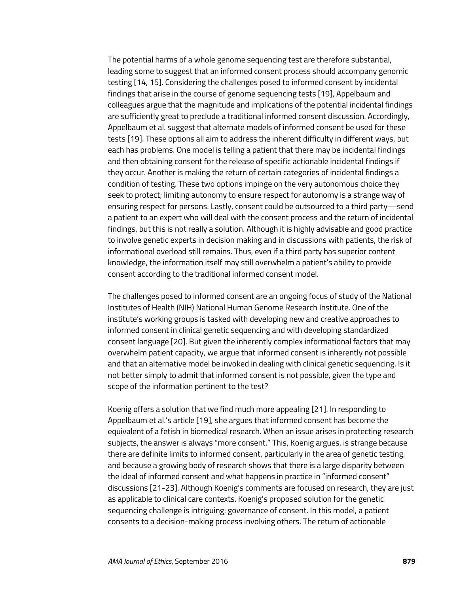The potential harms of a whole genome sequencing test are therefore substantial, leading some to suggest that an informed consent process should accompany genomic testing [14, 15]. Considering the challenges posed to informed consent by incidental findings that arise in the course of genome sequencing tests [19], Appelbaum and colleagues argue that the magnitude and implications of the potential incidental findings are sufficiently great to preclude a traditional informed consent discussion. Accordingly, Appelbaum et al. suggest that alternate models of informed consent be used for these tests [19]. These options all aim to address the inherent difficulty in different ways, but each has problems. One model is telling a patient that there may be incidental findings and then obtaining consent for the release of specific actionable incidental findings if they occur. Another is making the return of certain categories of incidental findings a condition of testing. These two options impinge on the very autonomous choice they seek to protect; limiting autonomy to ensure respect for autonomy is a strange way of ensuring respect for persons. Lastly, consent could be outsourced to a third party—send a patient to an expert who will deal with the consent process and the return of incidental findings, but this is not really a solution. Although it is highly advisable and good practice to involve genetic experts in decision making and in discussions with patients, the risk of informational overload still remains. Thus, even if a third party has superior content knowledge, the information itself may still overwhelm a patient's ability to provide consent according to the traditional informed consent model.

The challenges posed to informed consent are an ongoing focus of study of the National Institutes of Health (NIH) National Human Genome Research Institute. One of the institute's working groups is tasked with developing new and creative approaches to informed consent in clinical genetic sequencing and with developing standardized consent language [20]. But given the inherently complex informational factors that may overwhelm patient capacity, we argue that informed consent is inherently not possible and that an alternative model be invoked in dealing with clinical genetic sequencing. Is it not better simply to admit that informed consent is not possible, given the type and scope of the information pertinent to the test?

Koenig offers a solution that we find much more appealing [21]. In responding to Appelbaum et al.'s article [19], she argues that informed consent has become the equivalent of a fetish in biomedical research. When an issue arises in protecting research subjects, the answer is always "more consent." This, Koenig argues, is strange because there are definite limits to informed consent, particularly in the area of genetic testing, and because a growing body of research shows that there is a large disparity between the ideal of informed consent and what happens in practice in "informed consent" discussions [21-23]. Although Koenig's comments are focused on research, they are just as applicable to clinical care contexts. Koenig's proposed solution for the genetic sequencing challenge is intriguing: governance of consent. In this model, a patient consents to a decision-making process involving others. The return of actionable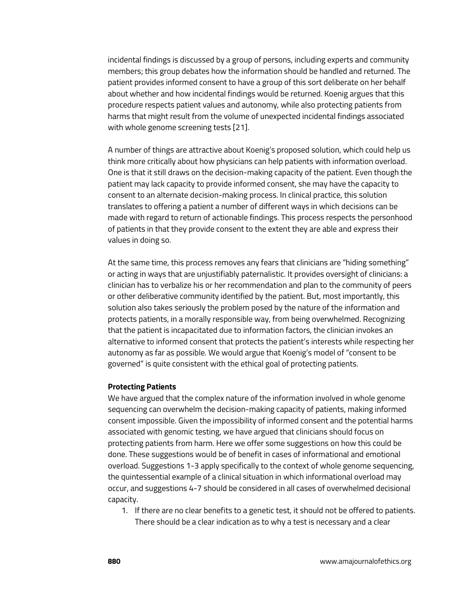incidental findings is discussed by a group of persons, including experts and community members; this group debates how the information should be handled and returned. The patient provides informed consent to have a group of this sort deliberate on her behalf about whether and how incidental findings would be returned. Koenig argues that this procedure respects patient values and autonomy, while also protecting patients from harms that might result from the volume of unexpected incidental findings associated with whole genome screening tests [21].

A number of things are attractive about Koenig's proposed solution, which could help us think more critically about how physicians can help patients with information overload. One is that it still draws on the decision-making capacity of the patient. Even though the patient may lack capacity to provide informed consent, she may have the capacity to consent to an alternate decision-making process. In clinical practice, this solution translates to offering a patient a number of different ways in which decisions can be made with regard to return of actionable findings. This process respects the personhood of patients in that they provide consent to the extent they are able and express their values in doing so.

At the same time, this process removes any fears that clinicians are "hiding something" or acting in ways that are unjustifiably paternalistic. It provides oversight of clinicians: a clinician has to verbalize his or her recommendation and plan to the community of peers or other deliberative community identified by the patient. But, most importantly, this solution also takes seriously the problem posed by the nature of the information and protects patients, in a morally responsible way, from being overwhelmed. Recognizing that the patient is incapacitated due to information factors, the clinician invokes an alternative to informed consent that protects the patient's interests while respecting her autonomy as far as possible. We would argue that Koenig's model of "consent to be governed" is quite consistent with the ethical goal of protecting patients.

### **Protecting Patients**

We have argued that the complex nature of the information involved in whole genome sequencing can overwhelm the decision-making capacity of patients, making informed consent impossible. Given the impossibility of informed consent and the potential harms associated with genomic testing, we have argued that clinicians should focus on protecting patients from harm. Here we offer some suggestions on how this could be done. These suggestions would be of benefit in cases of informational and emotional overload. Suggestions 1-3 apply specifically to the context of whole genome sequencing, the quintessential example of a clinical situation in which informational overload may occur, and suggestions 4-7 should be considered in all cases of overwhelmed decisional capacity.

1. If there are no clear benefits to a genetic test, it should not be offered to patients. There should be a clear indication as to why a test is necessary and a clear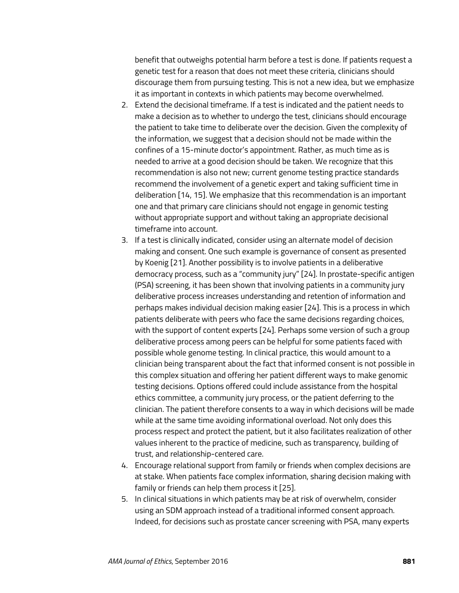benefit that outweighs potential harm before a test is done. If patients request a genetic test for a reason that does not meet these criteria, clinicians should discourage them from pursuing testing. This is not a new idea, but we emphasize it as important in contexts in which patients may become overwhelmed.

- 2. Extend the decisional timeframe. If a test is indicated and the patient needs to make a decision as to whether to undergo the test, clinicians should encourage the patient to take time to deliberate over the decision. Given the complexity of the information, we suggest that a decision should not be made within the confines of a 15-minute doctor's appointment. Rather, as much time as is needed to arrive at a good decision should be taken. We recognize that this recommendation is also not new; current genome testing practice standards recommend the involvement of a genetic expert and taking sufficient time in deliberation [14, 15]. We emphasize that this recommendation is an important one and that primary care clinicians should not engage in genomic testing without appropriate support and without taking an appropriate decisional timeframe into account.
- 3. If a test is clinically indicated, consider using an alternate model of decision making and consent. One such example is governance of consent as presented by Koenig [21]. Another possibility is to involve patients in a deliberative democracy process, such as a "community jury" [24]. In prostate-specific antigen (PSA) screening, it has been shown that involving patients in a community jury deliberative process increases understanding and retention of information and perhaps makes individual decision making easier [24]. This is a process in which patients deliberate with peers who face the same decisions regarding choices, with the support of content experts [24]. Perhaps some version of such a group deliberative process among peers can be helpful for some patients faced with possible whole genome testing. In clinical practice, this would amount to a clinician being transparent about the fact that informed consent is not possible in this complex situation and offering her patient different ways to make genomic testing decisions. Options offered could include assistance from the hospital ethics committee, a community jury process, or the patient deferring to the clinician. The patient therefore consents to a way in which decisions will be made while at the same time avoiding informational overload. Not only does this process respect and protect the patient, but it also facilitates realization of other values inherent to the practice of medicine, such as transparency, building of trust, and relationship-centered care.
- 4. Encourage relational support from family or friends when complex decisions are at stake. When patients face complex information, sharing decision making with family or friends can help them process it [25].
- 5. In clinical situations in which patients may be at risk of overwhelm, consider using an SDM approach instead of a traditional informed consent approach. Indeed, for decisions such as prostate cancer screening with PSA, many experts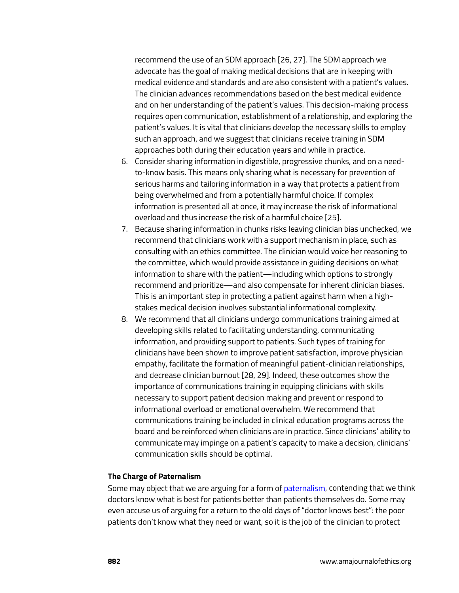recommend the use of an SDM approach [26, 27]. The SDM approach we advocate has the goal of making medical decisions that are in keeping with medical evidence and standards and are also consistent with a patient's values. The clinician advances recommendations based on the best medical evidence and on her understanding of the patient's values. This decision-making process requires open communication, establishment of a relationship, and exploring the patient's values. It is vital that clinicians develop the necessary skills to employ such an approach, and we suggest that clinicians receive training in SDM approaches both during their education years and while in practice.

- 6. Consider sharing information in digestible, progressive chunks, and on a needto-know basis. This means only sharing what is necessary for prevention of serious harms and tailoring information in a way that protects a patient from being overwhelmed and from a potentially harmful choice. If complex information is presented all at once, it may increase the risk of informational overload and thus increase the risk of a harmful choice [25].
- 7. Because sharing information in chunks risks leaving clinician bias unchecked, we recommend that clinicians work with a support mechanism in place, such as consulting with an ethics committee. The clinician would voice her reasoning to the committee, which would provide assistance in guiding decisions on what information to share with the patient—including which options to strongly recommend and prioritize—and also compensate for inherent clinician biases. This is an important step in protecting a patient against harm when a highstakes medical decision involves substantial informational complexity.
- 8. We recommend that all clinicians undergo communications training aimed at developing skills related to facilitating understanding, communicating information, and providing support to patients. Such types of training for clinicians have been shown to improve patient satisfaction, improve physician empathy, facilitate the formation of meaningful patient-clinician relationships, and decrease clinician burnout [28, 29]. Indeed, these outcomes show the importance of communications training in equipping clinicians with skills necessary to support patient decision making and prevent or respond to informational overload or emotional overwhelm. We recommend that communications training be included in clinical education programs across the board and be reinforced when clinicians are in practice. Since clinicians' ability to communicate may impinge on a patient's capacity to make a decision, clinicians' communication skills should be optimal.

### **The Charge of Paternalism**

Some may object that we are arguing for a form of [paternalism,](http://journalofethics.ama-assn.org/2012/07/oped2-1207.html) contending that we think doctors know what is best for patients better than patients themselves do. Some may even accuse us of arguing for a return to the old days of "doctor knows best": the poor patients don't know what they need or want, so it is the job of the clinician to protect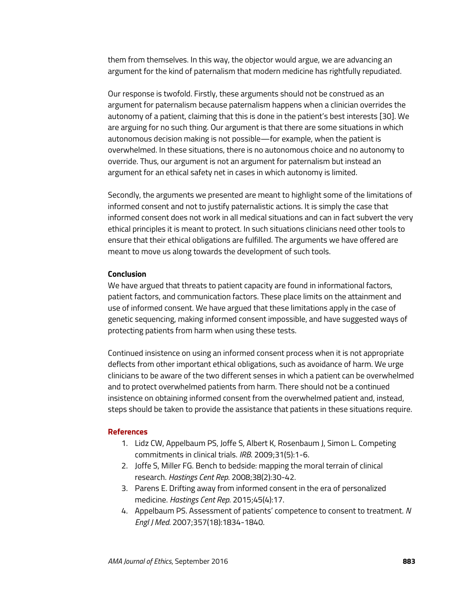them from themselves. In this way, the objector would argue, we are advancing an argument for the kind of paternalism that modern medicine has rightfully repudiated.

Our response is twofold. Firstly, these arguments should not be construed as an argument for paternalism because paternalism happens when a clinician overrides the autonomy of a patient, claiming that this is done in the patient's best interests [30]. We are arguing for no such thing. Our argument is that there are some situations in which autonomous decision making is not possible—for example, when the patient is overwhelmed. In these situations, there is no autonomous choice and no autonomy to override. Thus, our argument is not an argument for paternalism but instead an argument for an ethical safety net in cases in which autonomy is limited.

Secondly, the arguments we presented are meant to highlight some of the limitations of informed consent and not to justify paternalistic actions. It is simply the case that informed consent does not work in all medical situations and can in fact subvert the very ethical principles it is meant to protect. In such situations clinicians need other tools to ensure that their ethical obligations are fulfilled. The arguments we have offered are meant to move us along towards the development of such tools.

### **Conclusion**

We have argued that threats to patient capacity are found in informational factors, patient factors, and communication factors. These place limits on the attainment and use of informed consent. We have argued that these limitations apply in the case of genetic sequencing, making informed consent impossible, and have suggested ways of protecting patients from harm when using these tests.

Continued insistence on using an informed consent process when it is not appropriate deflects from other important ethical obligations, such as avoidance of harm. We urge clinicians to be aware of the two different senses in which a patient can be overwhelmed and to protect overwhelmed patients from harm. There should not be a continued insistence on obtaining informed consent from the overwhelmed patient and, instead, steps should be taken to provide the assistance that patients in these situations require.

### **References**

- 1. Lidz CW, Appelbaum PS, Joffe S, Albert K, Rosenbaum J, Simon L. Competing commitments in clinical trials. *IRB*. 2009;31(5):1-6.
- 2. Joffe S, Miller FG. Bench to bedside: mapping the moral terrain of clinical research. *Hastings Cent Rep*. 2008;38(2):30-42.
- 3. Parens E. Drifting away from informed consent in the era of personalized medicine. *Hastings Cent Rep*. 2015;45(4):17.
- 4. Appelbaum PS. Assessment of patients' competence to consent to treatment. *N Engl J Med*. 2007;357(18):1834-1840.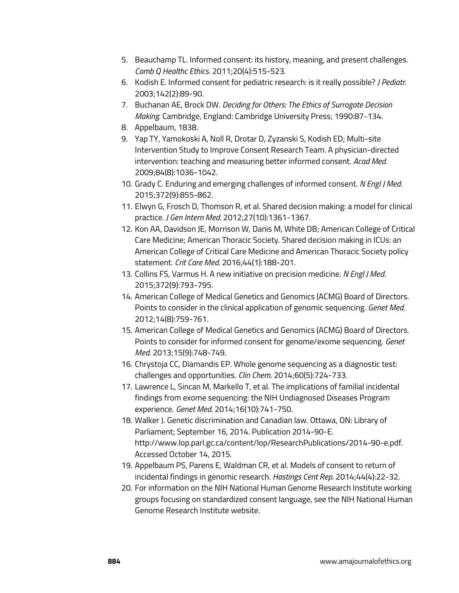- 5. Beauchamp TL. Informed consent: its history, meaning, and present challenges. *Camb Q Healthc Ethics*. 2011;20(4):515-523.
- 6. Kodish E. Informed consent for pediatric research: is it really possible? *J Pediatr*. 2003;142(2):89-90.
- 7. Buchanan AE, Brock DW. *Deciding for Others: The Ethics of Surrogate Decision Making*. Cambridge, England: Cambridge University Press; 1990:87-134.
- 8. Appelbaum, 1838.
- 9. Yap TY, Yamokoski A, Noll R, Drotar D, Zyzanski S, Kodish ED; Multi-site Intervention Study to Improve Consent Research Team. A physician-directed intervention: teaching and measuring better informed consent. *Acad Med*. 2009;84(8):1036-1042.
- 10. Grady C. Enduring and emerging challenges of informed consent. *N Engl J Med*. 2015;372(9):855-862.
- 11. Elwyn G, Frosch D, Thomson R, et al. Shared decision making: a model for clinical practice. *J Gen Intern Med*. 2012;27(10):1361-1367.
- 12. Kon AA, Davidson JE, Morrison W, Danis M, White DB; American College of Critical Care Medicine; American Thoracic Society. Shared decision making in ICUs: an American College of Critical Care Medicine and American Thoracic Society policy statement. *Crit Care Med*. 2016;44(1):188-201.
- 13. Collins FS, Varmus H. A new initiative on precision medicine. *N Engl J Med*. 2015;372(9):793-795.
- 14. American College of Medical Genetics and Genomics (ACMG) Board of Directors. Points to consider in the clinical application of genomic sequencing. *Genet Med*. 2012;14(8):759-761.
- 15. American College of Medical Genetics and Genomics (ACMG) Board of Directors. Points to consider for informed consent for genome/exome sequencing. *Genet Med*. 2013;15(9):748-749.
- 16. Chrystoja CC, Diamandis EP. Whole genome sequencing as a diagnostic test: challenges and opportunities. *Clin Chem*. 2014;60(5):724-733.
- 17. Lawrence L, Sincan M, Markello T, et al. The implications of familial incidental findings from exome sequencing: the NIH Undiagnosed Diseases Program experience. *Genet Med*. 2014;16(10):741-750.
- 18. Walker J. Genetic discrimination and Canadian law. Ottawa, ON: Library of Parliament; September 16, 2014. Publication 2014-90-E. http://www.lop.parl.gc.ca/content/lop/ResearchPublications/2014-90-e.pdf. Accessed October 14, 2015.
- 19. Appelbaum PS, Parens E, Waldman CR, et al. Models of consent to return of incidental findings in genomic research. *Hastings Cent Rep*. 2014;44(4):22-32.
- 20. For information on the NIH National Human Genome Research Institute working groups focusing on standardized consent language, see the NIH National Human Genome Research Institute website.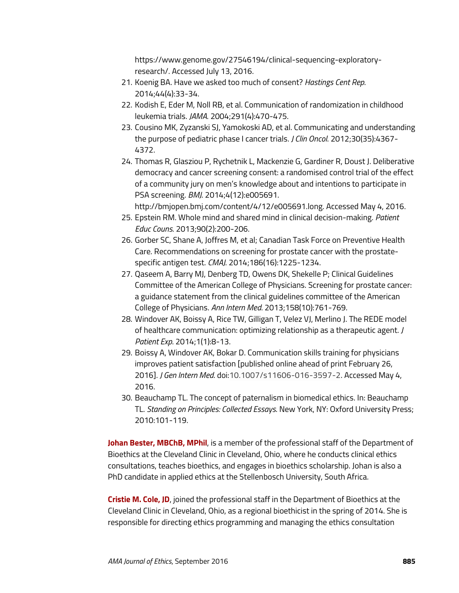https://www.genome.gov/27546194/clinical-sequencing-exploratoryresearch/. Accessed July 13, 2016.

- 21. Koenig BA. Have we asked too much of consent? *Hastings Cent Rep*. 2014;44(4):33-34.
- 22. Kodish E, Eder M, Noll RB, et al. Communication of randomization in childhood leukemia trials. *JAMA*. 2004;291(4):470-475.
- 23. Cousino MK, Zyzanski SJ, Yamokoski AD, et al. Communicating and understanding the purpose of pediatric phase I cancer trials. *J Clin Oncol*. 2012;30(35):4367- 4372.
- 24. Thomas R, Glasziou P, Rychetnik L, Mackenzie G, Gardiner R, Doust J. Deliberative democracy and cancer screening consent: a randomised control trial of the effect of a community jury on men's knowledge about and intentions to participate in PSA screening. *BMJ*. 2014;4(12):e005691.

http://bmjopen.bmj.com/content/4/12/e005691.long. Accessed May 4, 2016.

- 25. Epstein RM. Whole mind and shared mind in clinical decision-making. *Patient Educ Couns*. 2013;90(2):200-206.
- 26. Gorber SC, Shane A, Joffres M, et al; Canadian Task Force on Preventive Health Care. Recommendations on screening for prostate cancer with the prostatespecific antigen test. *CMAJ*. 2014;186(16):1225-1234.
- 27. Qaseem A, Barry MJ, Denberg TD, Owens DK, Shekelle P; Clinical Guidelines Committee of the American College of Physicians. Screening for prostate cancer: a guidance statement from the clinical guidelines committee of the American College of Physicians. *Ann Intern Med*. 2013;158(10):761-769.
- 28. Windover AK, Boissy A, Rice TW, Gilligan T, Velez VJ, Merlino J. The REDE model of healthcare communication: optimizing relationship as a therapeutic agent. *J Patient Exp*. 2014;1(1):8-13.
- 29. Boissy A, Windover AK, Bokar D. Communication skills training for physicians improves patient satisfaction [published online ahead of print February 26, 2016]. *J Gen Intern Med*. doi:10.1007/s11606-016-3597-2. Accessed May 4, 2016.
- 30. Beauchamp TL. The concept of paternalism in biomedical ethics. In: Beauchamp TL. *Standing on Principles: Collected Essays*. New York, NY: Oxford University Press; 2010:101-119.

**Johan Bester, MBChB, MPhil**, is a member of the professional staff of the Department of Bioethics at the Cleveland Clinic in Cleveland, Ohio, where he conducts clinical ethics consultations, teaches bioethics, and engages in bioethics scholarship. Johan is also a PhD candidate in applied ethics at the Stellenbosch University, South Africa.

**Cristie M. Cole, JD**, joined the professional staff in the Department of Bioethics at the Cleveland Clinic in Cleveland, Ohio, as a regional bioethicist in the spring of 2014. She is responsible for directing ethics programming and managing the ethics consultation